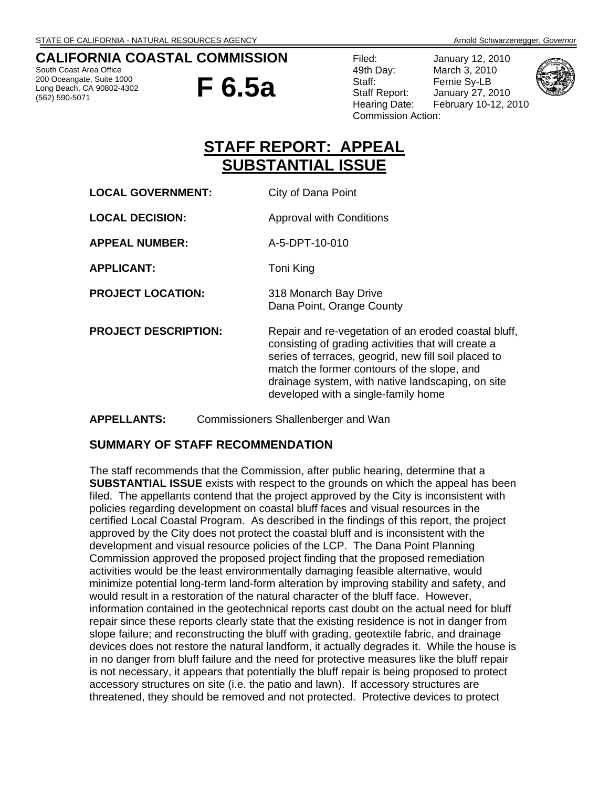## **CALIFORNIA COASTAL COMMISSION**

South Coast Area Office 200 Oceangate, Suite 1000 Long Beach, CA 90802-4302 (562) 590-5071



Filed: January 12, 2010 49th Day: March 3, 2010 Staff: Fernie Sy-LB Staff Report: January 27, 2010 Commission Action:





# **STAFF REPORT: APPEAL SUBSTANTIAL ISSUE**

| <b>LOCAL GOVERNMENT:</b>    | City of Dana Point                                                                                                                                                                                                                                                                                             |
|-----------------------------|----------------------------------------------------------------------------------------------------------------------------------------------------------------------------------------------------------------------------------------------------------------------------------------------------------------|
| <b>LOCAL DECISION:</b>      | Approval with Conditions                                                                                                                                                                                                                                                                                       |
| <b>APPEAL NUMBER:</b>       | A-5-DPT-10-010                                                                                                                                                                                                                                                                                                 |
| <b>APPLICANT:</b>           | Toni King                                                                                                                                                                                                                                                                                                      |
| <b>PROJECT LOCATION:</b>    | 318 Monarch Bay Drive<br>Dana Point, Orange County                                                                                                                                                                                                                                                             |
| <b>PROJECT DESCRIPTION:</b> | Repair and re-vegetation of an eroded coastal bluff,<br>consisting of grading activities that will create a<br>series of terraces, geogrid, new fill soil placed to<br>match the former contours of the slope, and<br>drainage system, with native landscaping, on site<br>developed with a single-family home |

#### **APPELLANTS:** Commissioners Shallenberger and Wan

## **SUMMARY OF STAFF RECOMMENDATION**

The staff recommends that the Commission, after public hearing, determine that a **SUBSTANTIAL ISSUE** exists with respect to the grounds on which the appeal has been filed. The appellants contend that the project approved by the City is inconsistent with policies regarding development on coastal bluff faces and visual resources in the certified Local Coastal Program. As described in the findings of this report, the project approved by the City does not protect the coastal bluff and is inconsistent with the development and visual resource policies of the LCP. The Dana Point Planning Commission approved the proposed project finding that the proposed remediation activities would be the least environmentally damaging feasible alternative, would minimize potential long-term land-form alteration by improving stability and safety, and would result in a restoration of the natural character of the bluff face. However, information contained in the geotechnical reports cast doubt on the actual need for bluff repair since these reports clearly state that the existing residence is not in danger from slope failure; and reconstructing the bluff with grading, geotextile fabric, and drainage devices does not restore the natural landform, it actually degrades it. While the house is in no danger from bluff failure and the need for protective measures like the bluff repair is not necessary, it appears that potentially the bluff repair is being proposed to protect accessory structures on site (i.e. the patio and lawn). If accessory structures are threatened, they should be removed and not protected. Protective devices to protect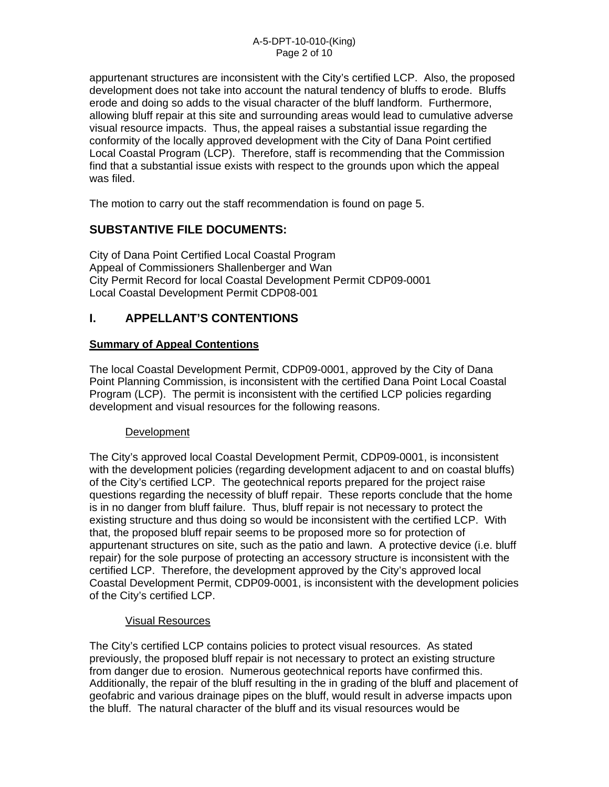appurtenant structures are inconsistent with the City's certified LCP. Also, the proposed development does not take into account the natural tendency of bluffs to erode. Bluffs erode and doing so adds to the visual character of the bluff landform. Furthermore, allowing bluff repair at this site and surrounding areas would lead to cumulative adverse visual resource impacts. Thus, the appeal raises a substantial issue regarding the conformity of the locally approved development with the City of Dana Point certified Local Coastal Program (LCP). Therefore, staff is recommending that the Commission find that a substantial issue exists with respect to the grounds upon which the appeal was filed.

The motion to carry out the staff recommendation is found on page 5.

# **SUBSTANTIVE FILE DOCUMENTS:**

City of Dana Point Certified Local Coastal Program Appeal of Commissioners Shallenberger and Wan City Permit Record for local Coastal Development Permit CDP09-0001 Local Coastal Development Permit CDP08-001

# **I. APPELLANT'S CONTENTIONS**

## **Summary of Appeal Contentions**

The local Coastal Development Permit, CDP09-0001, approved by the City of Dana Point Planning Commission, is inconsistent with the certified Dana Point Local Coastal Program (LCP). The permit is inconsistent with the certified LCP policies regarding development and visual resources for the following reasons.

## **Development**

The City's approved local Coastal Development Permit, CDP09-0001, is inconsistent with the development policies (regarding development adjacent to and on coastal bluffs) of the City's certified LCP. The geotechnical reports prepared for the project raise questions regarding the necessity of bluff repair. These reports conclude that the home is in no danger from bluff failure. Thus, bluff repair is not necessary to protect the existing structure and thus doing so would be inconsistent with the certified LCP. With that, the proposed bluff repair seems to be proposed more so for protection of appurtenant structures on site, such as the patio and lawn. A protective device (i.e. bluff repair) for the sole purpose of protecting an accessory structure is inconsistent with the certified LCP. Therefore, the development approved by the City's approved local Coastal Development Permit, CDP09-0001, is inconsistent with the development policies of the City's certified LCP.

## Visual Resources

The City's certified LCP contains policies to protect visual resources. As stated previously, the proposed bluff repair is not necessary to protect an existing structure from danger due to erosion. Numerous geotechnical reports have confirmed this. Additionally, the repair of the bluff resulting in the in grading of the bluff and placement of geofabric and various drainage pipes on the bluff, would result in adverse impacts upon the bluff. The natural character of the bluff and its visual resources would be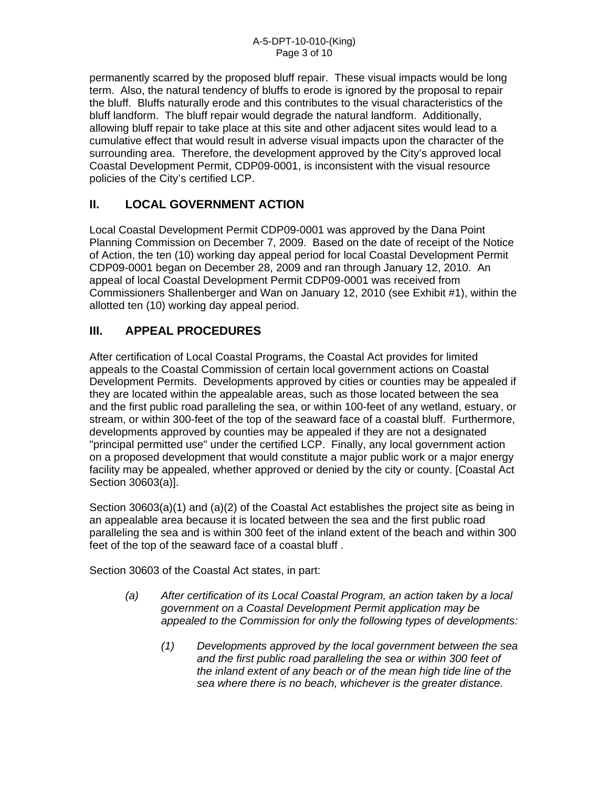permanently scarred by the proposed bluff repair. These visual impacts would be long term. Also, the natural tendency of bluffs to erode is ignored by the proposal to repair the bluff. Bluffs naturally erode and this contributes to the visual characteristics of the bluff landform. The bluff repair would degrade the natural landform. Additionally, allowing bluff repair to take place at this site and other adjacent sites would lead to a cumulative effect that would result in adverse visual impacts upon the character of the surrounding area. Therefore, the development approved by the City's approved local Coastal Development Permit, CDP09-0001, is inconsistent with the visual resource policies of the City's certified LCP.

# **II. LOCAL GOVERNMENT ACTION**

Local Coastal Development Permit CDP09-0001 was approved by the Dana Point Planning Commission on December 7, 2009. Based on the date of receipt of the Notice of Action, the ten (10) working day appeal period for local Coastal Development Permit CDP09-0001 began on December 28, 2009 and ran through January 12, 2010. An appeal of local Coastal Development Permit CDP09-0001 was received from Commissioners Shallenberger and Wan on January 12, 2010 (see Exhibit #1), within the allotted ten (10) working day appeal period.

# **III. APPEAL PROCEDURES**

After certification of Local Coastal Programs, the Coastal Act provides for limited appeals to the Coastal Commission of certain local government actions on Coastal Development Permits. Developments approved by cities or counties may be appealed if they are located within the appealable areas, such as those located between the sea and the first public road paralleling the sea, or within 100-feet of any wetland, estuary, or stream, or within 300-feet of the top of the seaward face of a coastal bluff. Furthermore, developments approved by counties may be appealed if they are not a designated "principal permitted use" under the certified LCP. Finally, any local government action on a proposed development that would constitute a major public work or a major energy facility may be appealed, whether approved or denied by the city or county. [Coastal Act Section 30603(a)].

Section 30603(a)(1) and (a)(2) of the Coastal Act establishes the project site as being in an appealable area because it is located between the sea and the first public road paralleling the sea and is within 300 feet of the inland extent of the beach and within 300 feet of the top of the seaward face of a coastal bluff .

Section 30603 of the Coastal Act states, in part:

- *(a) After certification of its Local Coastal Program, an action taken by a local government on a Coastal Development Permit application may be appealed to the Commission for only the following types of developments:* 
	- *(1) Developments approved by the local government between the sea and the first public road paralleling the sea or within 300 feet of the inland extent of any beach or of the mean high tide line of the sea where there is no beach, whichever is the greater distance.*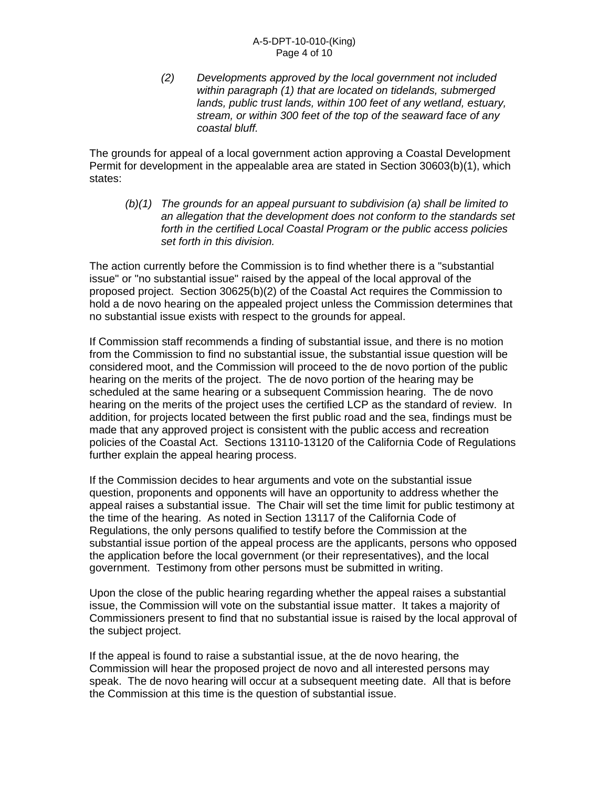*(2) Developments approved by the local government not included within paragraph (1) that are located on tidelands, submerged lands, public trust lands, within 100 feet of any wetland, estuary, stream, or within 300 feet of the top of the seaward face of any coastal bluff.* 

The grounds for appeal of a local government action approving a Coastal Development Permit for development in the appealable area are stated in Section 30603(b)(1), which states:

*(b)(1) The grounds for an appeal pursuant to subdivision (a) shall be limited to an allegation that the development does not conform to the standards set forth in the certified Local Coastal Program or the public access policies set forth in this division.* 

The action currently before the Commission is to find whether there is a "substantial issue" or "no substantial issue" raised by the appeal of the local approval of the proposed project. Section 30625(b)(2) of the Coastal Act requires the Commission to hold a de novo hearing on the appealed project unless the Commission determines that no substantial issue exists with respect to the grounds for appeal.

If Commission staff recommends a finding of substantial issue, and there is no motion from the Commission to find no substantial issue, the substantial issue question will be considered moot, and the Commission will proceed to the de novo portion of the public hearing on the merits of the project. The de novo portion of the hearing may be scheduled at the same hearing or a subsequent Commission hearing. The de novo hearing on the merits of the project uses the certified LCP as the standard of review. In addition, for projects located between the first public road and the sea, findings must be made that any approved project is consistent with the public access and recreation policies of the Coastal Act. Sections 13110-13120 of the California Code of Regulations further explain the appeal hearing process.

If the Commission decides to hear arguments and vote on the substantial issue question, proponents and opponents will have an opportunity to address whether the appeal raises a substantial issue. The Chair will set the time limit for public testimony at the time of the hearing. As noted in Section 13117 of the California Code of Regulations, the only persons qualified to testify before the Commission at the substantial issue portion of the appeal process are the applicants, persons who opposed the application before the local government (or their representatives), and the local government. Testimony from other persons must be submitted in writing.

Upon the close of the public hearing regarding whether the appeal raises a substantial issue, the Commission will vote on the substantial issue matter. It takes a majority of Commissioners present to find that no substantial issue is raised by the local approval of the subject project.

If the appeal is found to raise a substantial issue, at the de novo hearing, the Commission will hear the proposed project de novo and all interested persons may speak. The de novo hearing will occur at a subsequent meeting date. All that is before the Commission at this time is the question of substantial issue.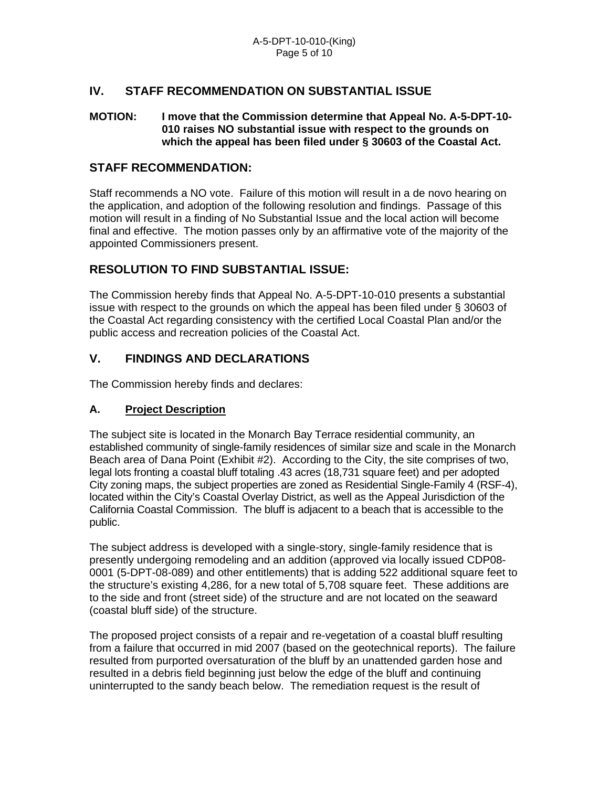## **IV. STAFF RECOMMENDATION ON SUBSTANTIAL ISSUE**

#### **MOTION: I move that the Commission determine that Appeal No. A-5-DPT-10- 010 raises NO substantial issue with respect to the grounds on which the appeal has been filed under § 30603 of the Coastal Act.**

#### **STAFF RECOMMENDATION:**

Staff recommends a NO vote. Failure of this motion will result in a de novo hearing on the application, and adoption of the following resolution and findings. Passage of this motion will result in a finding of No Substantial Issue and the local action will become final and effective. The motion passes only by an affirmative vote of the majority of the appointed Commissioners present.

## **RESOLUTION TO FIND SUBSTANTIAL ISSUE:**

The Commission hereby finds that Appeal No. A-5-DPT-10-010 presents a substantial issue with respect to the grounds on which the appeal has been filed under § 30603 of the Coastal Act regarding consistency with the certified Local Coastal Plan and/or the public access and recreation policies of the Coastal Act.

## **V. FINDINGS AND DECLARATIONS**

The Commission hereby finds and declares:

#### **A. Project Description**

The subject site is located in the Monarch Bay Terrace residential community, an established community of single-family residences of similar size and scale in the Monarch Beach area of Dana Point (Exhibit #2). According to the City, the site comprises of two, legal lots fronting a coastal bluff totaling .43 acres (18,731 square feet) and per adopted City zoning maps, the subject properties are zoned as Residential Single-Family 4 (RSF-4), located within the City's Coastal Overlay District, as well as the Appeal Jurisdiction of the California Coastal Commission. The bluff is adjacent to a beach that is accessible to the public.

The subject address is developed with a single-story, single-family residence that is presently undergoing remodeling and an addition (approved via locally issued CDP08- 0001 (5-DPT-08-089) and other entitlements) that is adding 522 additional square feet to the structure's existing 4,286, for a new total of 5,708 square feet. These additions are to the side and front (street side) of the structure and are not located on the seaward (coastal bluff side) of the structure.

The proposed project consists of a repair and re-vegetation of a coastal bluff resulting from a failure that occurred in mid 2007 (based on the geotechnical reports). The failure resulted from purported oversaturation of the bluff by an unattended garden hose and resulted in a debris field beginning just below the edge of the bluff and continuing uninterrupted to the sandy beach below. The remediation request is the result of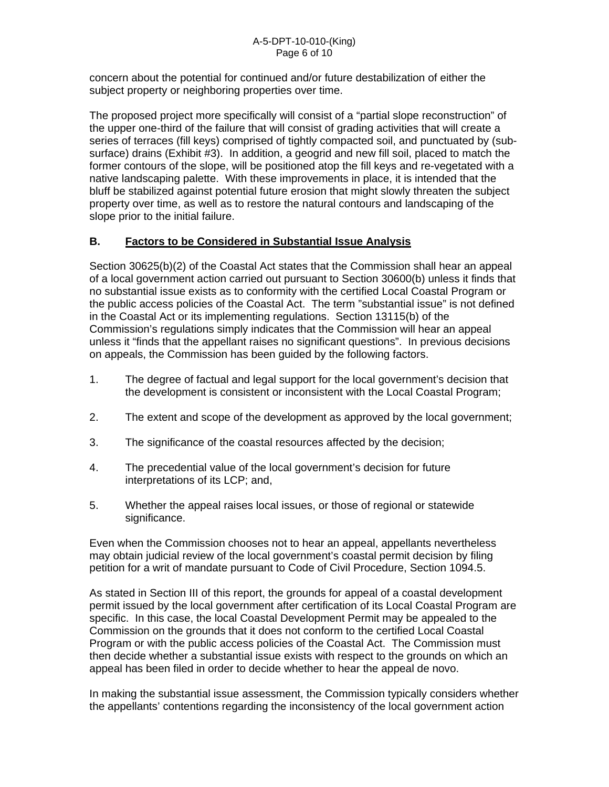concern about the potential for continued and/or future destabilization of either the subject property or neighboring properties over time.

The proposed project more specifically will consist of a "partial slope reconstruction" of the upper one-third of the failure that will consist of grading activities that will create a series of terraces (fill keys) comprised of tightly compacted soil, and punctuated by (subsurface) drains (Exhibit #3). In addition, a geogrid and new fill soil, placed to match the former contours of the slope, will be positioned atop the fill keys and re-vegetated with a native landscaping palette. With these improvements in place, it is intended that the bluff be stabilized against potential future erosion that might slowly threaten the subject property over time, as well as to restore the natural contours and landscaping of the slope prior to the initial failure.

## **B. Factors to be Considered in Substantial Issue Analysis**

Section 30625(b)(2) of the Coastal Act states that the Commission shall hear an appeal of a local government action carried out pursuant to Section 30600(b) unless it finds that no substantial issue exists as to conformity with the certified Local Coastal Program or the public access policies of the Coastal Act. The term "substantial issue" is not defined in the Coastal Act or its implementing regulations. Section 13115(b) of the Commission's regulations simply indicates that the Commission will hear an appeal unless it "finds that the appellant raises no significant questions". In previous decisions on appeals, the Commission has been guided by the following factors.

- 1. The degree of factual and legal support for the local government's decision that the development is consistent or inconsistent with the Local Coastal Program;
- 2. The extent and scope of the development as approved by the local government;
- 3. The significance of the coastal resources affected by the decision;
- 4. The precedential value of the local government's decision for future interpretations of its LCP; and,
- 5. Whether the appeal raises local issues, or those of regional or statewide significance.

Even when the Commission chooses not to hear an appeal, appellants nevertheless may obtain judicial review of the local government's coastal permit decision by filing petition for a writ of mandate pursuant to Code of Civil Procedure, Section 1094.5.

As stated in Section III of this report, the grounds for appeal of a coastal development permit issued by the local government after certification of its Local Coastal Program are specific. In this case, the local Coastal Development Permit may be appealed to the Commission on the grounds that it does not conform to the certified Local Coastal Program or with the public access policies of the Coastal Act. The Commission must then decide whether a substantial issue exists with respect to the grounds on which an appeal has been filed in order to decide whether to hear the appeal de novo.

In making the substantial issue assessment, the Commission typically considers whether the appellants' contentions regarding the inconsistency of the local government action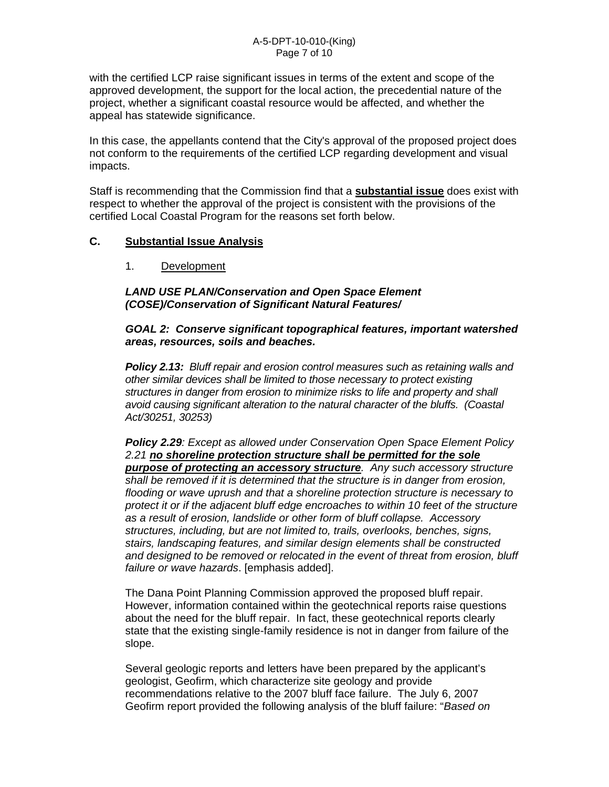with the certified LCP raise significant issues in terms of the extent and scope of the approved development, the support for the local action, the precedential nature of the project, whether a significant coastal resource would be affected, and whether the appeal has statewide significance.

In this case, the appellants contend that the City's approval of the proposed project does not conform to the requirements of the certified LCP regarding development and visual impacts.

Staff is recommending that the Commission find that a **substantial issue** does exist with respect to whether the approval of the project is consistent with the provisions of the certified Local Coastal Program for the reasons set forth below.

## **C. Substantial Issue Analysis**

1. Development

*LAND USE PLAN/Conservation and Open Space Element (COSE)/Conservation of Significant Natural Features/* 

#### *GOAL 2: Conserve significant topographical features, important watershed areas, resources, soils and beaches.*

*Policy 2.13: Bluff repair and erosion control measures such as retaining walls and other similar devices shall be limited to those necessary to protect existing structures in danger from erosion to minimize risks to life and property and shall avoid causing significant alteration to the natural character of the bluffs. (Coastal Act/30251, 30253)* 

*Policy 2.29: Except as allowed under Conservation Open Space Element Policy 2.21 no shoreline protection structure shall be permitted for the sole purpose of protecting an accessory structure. Any such accessory structure shall be removed if it is determined that the structure is in danger from erosion, flooding or wave uprush and that a shoreline protection structure is necessary to protect it or if the adjacent bluff edge encroaches to within 10 feet of the structure as a result of erosion, landslide or other form of bluff collapse. Accessory structures, including, but are not limited to, trails, overlooks, benches, signs, stairs, landscaping features, and similar design elements shall be constructed and designed to be removed or relocated in the event of threat from erosion, bluff failure or wave hazards*. [emphasis added].

The Dana Point Planning Commission approved the proposed bluff repair. However, information contained within the geotechnical reports raise questions about the need for the bluff repair. In fact, these geotechnical reports clearly state that the existing single-family residence is not in danger from failure of the slope.

Several geologic reports and letters have been prepared by the applicant's geologist, Geofirm, which characterize site geology and provide recommendations relative to the 2007 bluff face failure. The July 6, 2007 Geofirm report provided the following analysis of the bluff failure: "*Based on*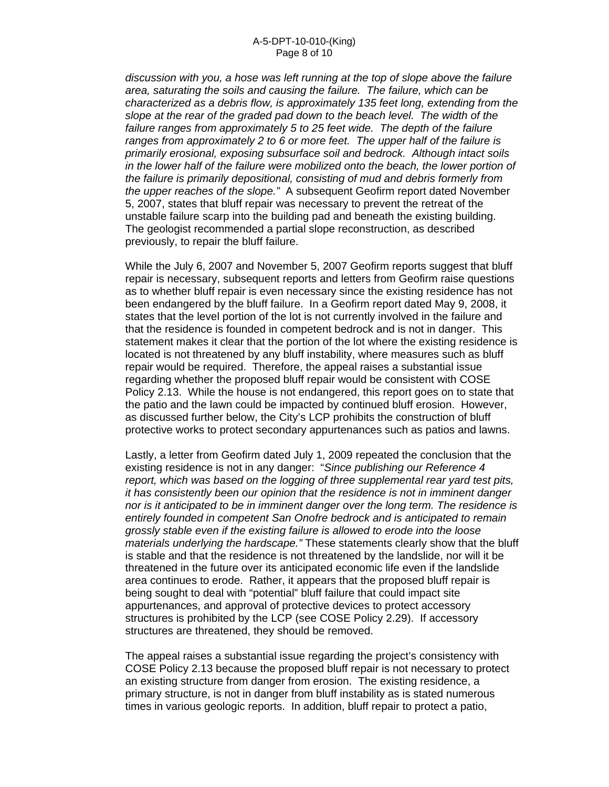*discussion with you, a hose was left running at the top of slope above the failure area, saturating the soils and causing the failure. The failure, which can be characterized as a debris flow, is approximately 135 feet long, extending from the slope at the rear of the graded pad down to the beach level. The width of the failure ranges from approximately 5 to 25 feet wide. The depth of the failure ranges from approximately 2 to 6 or more feet. The upper half of the failure is primarily erosional, exposing subsurface soil and bedrock. Although intact soils in the lower half of the failure were mobilized onto the beach, the lower portion of the failure is primarily depositional, consisting of mud and debris formerly from the upper reaches of the slope."* A subsequent Geofirm report dated November 5, 2007, states that bluff repair was necessary to prevent the retreat of the unstable failure scarp into the building pad and beneath the existing building. The geologist recommended a partial slope reconstruction, as described previously, to repair the bluff failure.

While the July 6, 2007 and November 5, 2007 Geofirm reports suggest that bluff repair is necessary, subsequent reports and letters from Geofirm raise questions as to whether bluff repair is even necessary since the existing residence has not been endangered by the bluff failure. In a Geofirm report dated May 9, 2008, it states that the level portion of the lot is not currently involved in the failure and that the residence is founded in competent bedrock and is not in danger. This statement makes it clear that the portion of the lot where the existing residence is located is not threatened by any bluff instability, where measures such as bluff repair would be required. Therefore, the appeal raises a substantial issue regarding whether the proposed bluff repair would be consistent with COSE Policy 2.13. While the house is not endangered, this report goes on to state that the patio and the lawn could be impacted by continued bluff erosion. However, as discussed further below, the City's LCP prohibits the construction of bluff protective works to protect secondary appurtenances such as patios and lawns.

Lastly, a letter from Geofirm dated July 1, 2009 repeated the conclusion that the existing residence is not in any danger: "*Since publishing our Reference 4 report, which was based on the logging of three supplemental rear yard test pits, it has consistently been our opinion that the residence is not in imminent danger nor is it anticipated to be in imminent danger over the long term. The residence is entirely founded in competent San Onofre bedrock and is anticipated to remain grossly stable even if the existing failure is allowed to erode into the loose materials underlying the hardscape."* These statements clearly show that the bluff is stable and that the residence is not threatened by the landslide, nor will it be threatened in the future over its anticipated economic life even if the landslide area continues to erode. Rather, it appears that the proposed bluff repair is being sought to deal with "potential" bluff failure that could impact site appurtenances, and approval of protective devices to protect accessory structures is prohibited by the LCP (see COSE Policy 2.29). If accessory structures are threatened, they should be removed.

The appeal raises a substantial issue regarding the project's consistency with COSE Policy 2.13 because the proposed bluff repair is not necessary to protect an existing structure from danger from erosion. The existing residence, a primary structure, is not in danger from bluff instability as is stated numerous times in various geologic reports. In addition, bluff repair to protect a patio,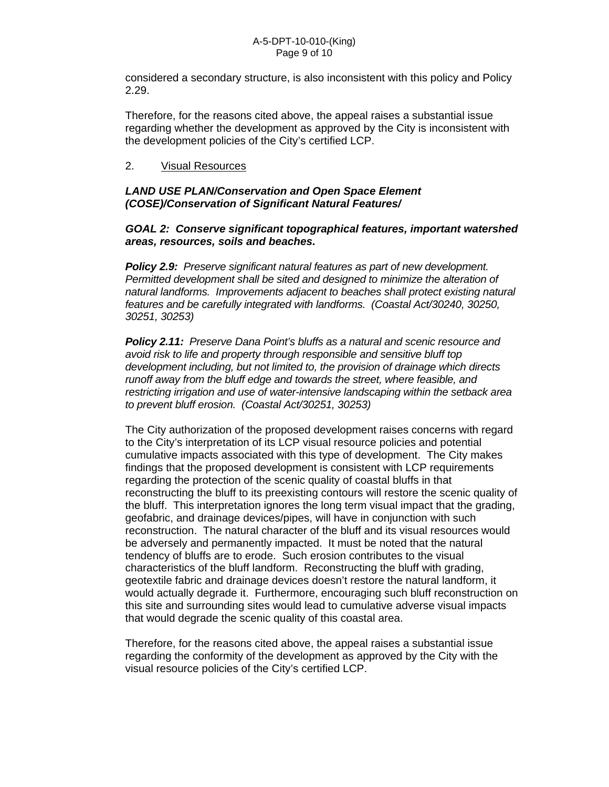considered a secondary structure, is also inconsistent with this policy and Policy 2.29.

Therefore, for the reasons cited above, the appeal raises a substantial issue regarding whether the development as approved by the City is inconsistent with the development policies of the City's certified LCP.

## 2. Visual Resources

## *LAND USE PLAN/Conservation and Open Space Element (COSE)/Conservation of Significant Natural Features/*

#### *GOAL 2: Conserve significant topographical features, important watershed areas, resources, soils and beaches.*

*Policy 2.9: Preserve significant natural features as part of new development. Permitted development shall be sited and designed to minimize the alteration of natural landforms. Improvements adjacent to beaches shall protect existing natural features and be carefully integrated with landforms. (Coastal Act/30240, 30250, 30251, 30253)* 

*Policy 2.11: Preserve Dana Point's bluffs as a natural and scenic resource and avoid risk to life and property through responsible and sensitive bluff top development including, but not limited to, the provision of drainage which directs runoff away from the bluff edge and towards the street, where feasible, and restricting irrigation and use of water-intensive landscaping within the setback area to prevent bluff erosion. (Coastal Act/30251, 30253)* 

The City authorization of the proposed development raises concerns with regard to the City's interpretation of its LCP visual resource policies and potential cumulative impacts associated with this type of development. The City makes findings that the proposed development is consistent with LCP requirements regarding the protection of the scenic quality of coastal bluffs in that reconstructing the bluff to its preexisting contours will restore the scenic quality of the bluff. This interpretation ignores the long term visual impact that the grading, geofabric, and drainage devices/pipes, will have in conjunction with such reconstruction. The natural character of the bluff and its visual resources would be adversely and permanently impacted. It must be noted that the natural tendency of bluffs are to erode. Such erosion contributes to the visual characteristics of the bluff landform. Reconstructing the bluff with grading, geotextile fabric and drainage devices doesn't restore the natural landform, it would actually degrade it. Furthermore, encouraging such bluff reconstruction on this site and surrounding sites would lead to cumulative adverse visual impacts that would degrade the scenic quality of this coastal area.

Therefore, for the reasons cited above, the appeal raises a substantial issue regarding the conformity of the development as approved by the City with the visual resource policies of the City's certified LCP.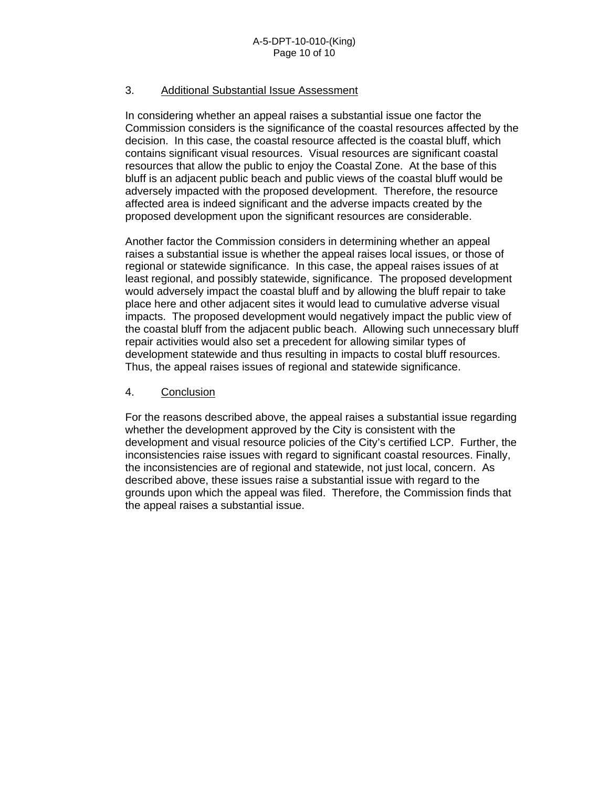## 3. Additional Substantial Issue Assessment

In considering whether an appeal raises a substantial issue one factor the Commission considers is the significance of the coastal resources affected by the decision. In this case, the coastal resource affected is the coastal bluff, which contains significant visual resources. Visual resources are significant coastal resources that allow the public to enjoy the Coastal Zone. At the base of this bluff is an adjacent public beach and public views of the coastal bluff would be adversely impacted with the proposed development. Therefore, the resource affected area is indeed significant and the adverse impacts created by the proposed development upon the significant resources are considerable.

Another factor the Commission considers in determining whether an appeal raises a substantial issue is whether the appeal raises local issues, or those of regional or statewide significance. In this case, the appeal raises issues of at least regional, and possibly statewide, significance. The proposed development would adversely impact the coastal bluff and by allowing the bluff repair to take place here and other adjacent sites it would lead to cumulative adverse visual impacts. The proposed development would negatively impact the public view of the coastal bluff from the adjacent public beach. Allowing such unnecessary bluff repair activities would also set a precedent for allowing similar types of development statewide and thus resulting in impacts to costal bluff resources. Thus, the appeal raises issues of regional and statewide significance.

#### 4. Conclusion

For the reasons described above, the appeal raises a substantial issue regarding whether the development approved by the City is consistent with the development and visual resource policies of the City's certified LCP. Further, the inconsistencies raise issues with regard to significant coastal resources. Finally, the inconsistencies are of regional and statewide, not just local, concern. As described above, these issues raise a substantial issue with regard to the grounds upon which the appeal was filed. Therefore, the Commission finds that the appeal raises a substantial issue.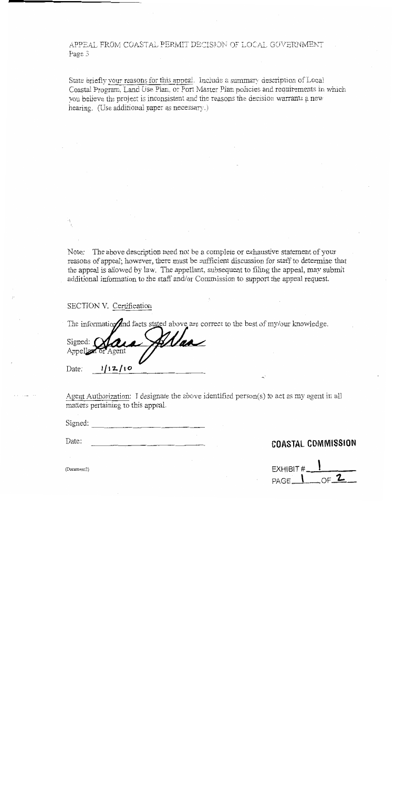APPEAL FROM COASTAL PERMIT DECISION OF LOCAL GOVERNMENT Page 3

State briefly your reasons for this appeal. Include a summary description of Local Coastal Program, Land Use Plan, or Port Master Plan policies and requirements in which you believe the project is inconsistent and the reasons the decision warrants a new hearing. (Use additional paper as necessary.)

Note: The above description need not be a complete or exhaustive statement of your reasons of appeal; however, there must be sufficient discussion for staff to determine that the appeal is allowed by law. The appellant, subsequent to filing the appeal, may submit additional information to the staff and/or Commission to support the appeal request.

#### SECTION V. Certification

The information and facts stated above are correct to the best of my/our knowledge.

|                    | Signed: $\Omega$ | Alaa |  |
|--------------------|------------------|------|--|
| Appellant or Agent |                  |      |  |
|                    | 12/10            |      |  |

Agent Authorization: I designate the above identified person(s) to act as my agent in all matters pertaining to this appeal.

Signed:  $\frac{1}{2}$ 

Date:

## **COASTAL COMMISSION**

EXHIBIT  $\frac{1}{PAGE \cdot \frac{1}{PAGE \cdot \frac{1}{P}}$ 

(Document2)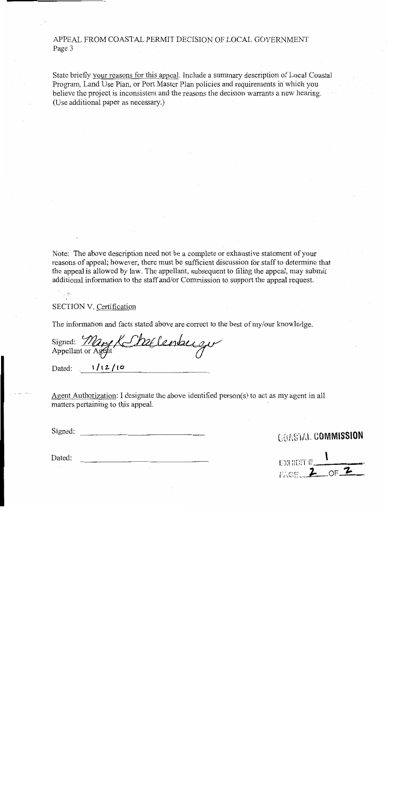APPEAL FROM COASTAL PERMIT DECISION OF LOCAL GOVERNMENT Page 3

State briefly your reasons for this appeal. Include a summary description of Local Coastal Program, Land Use Plan, or Port Master Plan policies and requirements in which you believe the project is inconsistent and the reasons the decision warrants a new hearing. (Use additional paper as necessary.)

Note: The above description need not be a complete or exhaustive statement of your reasons of appeal; however, there must be sufficient discussion for staff to determine that the appeal is allowed by law. The appellant, subsequent to filing the appeal, may submit additional information to the staff and/or Commission to support the appeal request.

SECTION V. Certification

The information and facts stated above are correct to the best of my/our knowledge.

Signed: Mary K Shallenburgu

Dated:  $1/12/10$ 

Dated:

Agent Authorization: I designate the above identified person(s) to act as my agent in all matters pertaining to this appeal.

Signed:

# **COASTAL COMMISSION**

EXHIDIT  $\frac{1}{2}$  of 2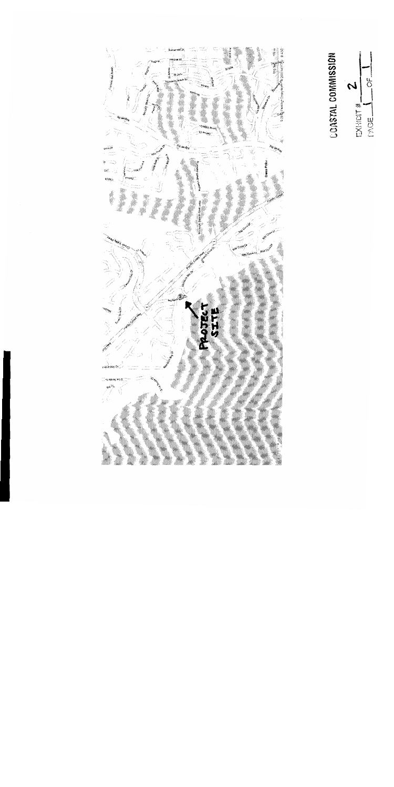2112 **ATTES** Canviro del Avion ä l'inmas? Dana Poli eri i Album  $\overline{5}$ **Tags** 

**COASTAL COMMISSION** 

2 EXHIDIT#\_<br>MAGE

 $rac{6}{\sqrt{2}}$